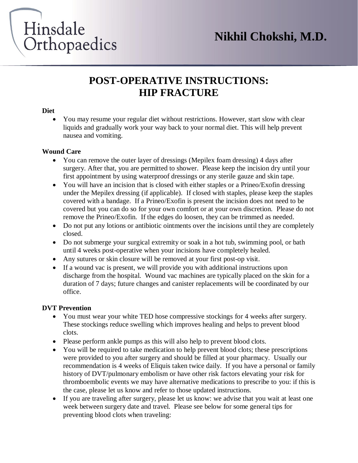

### **POST-OPERATIVE INSTRUCTIONS: HIP FRACTURE**

#### **Diet**

 You may resume your regular diet without restrictions. However, start slow with clear liquids and gradually work your way back to your normal diet. This will help prevent nausea and vomiting.

#### **Wound Care**

- You can remove the outer layer of dressings (Mepilex foam dressing) 4 days after surgery. After that, you are permitted to shower. Please keep the incision dry until your first appointment by using waterproof dressings or any sterile gauze and skin tape.
- You will have an incision that is closed with either staples or a Prineo/Exofin dressing under the Mepilex dressing (if applicable). If closed with staples, please keep the staples covered with a bandage. If a Prineo/Exofin is present the incision does not need to be covered but you can do so for your own comfort or at your own discretion. Please do not remove the Prineo/Exofin. If the edges do loosen, they can be trimmed as needed.
- Do not put any lotions or antibiotic ointments over the incisions until they are completely closed.
- Do not submerge your surgical extremity or soak in a hot tub, swimming pool, or bath until 4 weeks post-operative when your incisions have completely healed.
- Any sutures or skin closure will be removed at your first post-op visit.
- If a wound vac is present, we will provide you with additional instructions upon discharge from the hospital. Wound vac machines are typically placed on the skin for a duration of 7 days; future changes and canister replacements will be coordinated by our office.

#### **DVT Prevention**

- You must wear your white TED hose compressive stockings for 4 weeks after surgery. These stockings reduce swelling which improves healing and helps to prevent blood clots.
- Please perform ankle pumps as this will also help to prevent blood clots.
- You will be required to take medication to help prevent blood clots; these prescriptions were provided to you after surgery and should be filled at your pharmacy. Usually our recommendation is 4 weeks of Eliquis taken twice daily. If you have a personal or family history of DVT/pulmonary embolism or have other risk factors elevating your risk for thromboembolic events we may have alternative medications to prescribe to you: if this is the case, please let us know and refer to those updated instructions.
- If you are traveling after surgery, please let us know: we advise that you wait at least one week between surgery date and travel. Please see below for some general tips for preventing blood clots when traveling: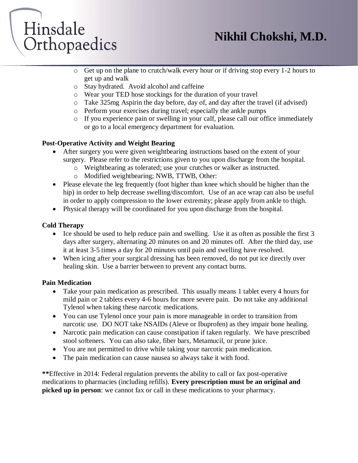## **Nikhil Chokshi, M.D.**

# Hinsdale Orthopaedics

- o Get up on the plane to crutch/walk every hour or if driving stop every 1-2 hours to get up and walk
- o Stay hydrated. Avoid alcohol and caffeine
- o Wear your TED hose stockings for the duration of your travel
- o Take 325mg Aspirin the day before, day of, and day after the travel (if advised)
- o Perform your exercises during travel; especially the ankle pumps
- o If you experience pain or swelling in your calf, please call our office immediately or go to a local emergency department for evaluation.

#### **Post-Operative Activity and Weight Bearing**

- After surgery you were given weightbearing instructions based on the extent of your surgery. Please refer to the restrictions given to you upon discharge from the hospital.
	- o Weightbearing as tolerated; use your crutches or walker as instructed.
	- o Modified weightbearing; NWB, TTWB, Other:
- Please elevate the leg frequently (foot higher than knee which should be higher than the hip) in order to help decrease swelling/discomfort. Use of an ace wrap can also be useful in order to apply compression to the lower extremity; please apply from ankle to thigh.
- Physical therapy will be coordinated for you upon discharge from the hospital.

#### **Cold Therapy**

- $\bullet$  Ice should be used to help reduce pain and swelling. Use it as often as possible the first 3 days after surgery, alternating 20 minutes on and 20 minutes off. After the third day, use it at least 3-5 times a day for 20 minutes until pain and swelling have resolved.
- When icing after your surgical dressing has been removed, do not put ice directly over healing skin. Use a barrier between to prevent any contact burns.

#### **Pain Medication**

- Take your pain medication as prescribed. This usually means 1 tablet every 4 hours for mild pain or 2 tablets every 4-6 hours for more severe pain. Do not take any additional Tylenol when taking these narcotic medications.
- You can use Tylenol once your pain is more manageable in order to transition from narcotic use. DO NOT take NSAIDs (Aleve or Ibuprofen) as they impair bone healing.
- Narcotic pain medication can cause constipation if taken regularly. We have prescribed stool softeners. You can also take, fiber bars, Metamucil, or prune juice.
- You are not permitted to drive while taking your narcotic pain medication.
- The pain medication can cause nausea so always take it with food.

**\*\***Effective in 2014: Federal regulation prevents the ability to call or fax post-operative medications to pharmacies (including refills). **Every prescription must be an original and picked up in person**: we cannot fax or call in these medications to your pharmacy.